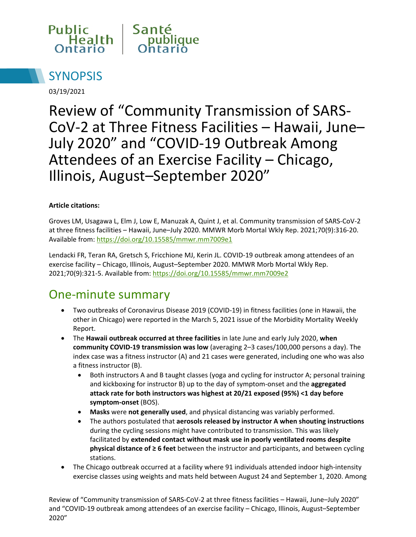



03/19/2021

Review of "Community Transmission of SARS-CoV-2 at Three Fitness Facilities – Hawaii, June– July 2020" and "COVID-19 Outbreak Among Attendees of an Exercise Facility – Chicago, Illinois, August–September 2020"

#### **Article citations:**

Groves LM, Usagawa L, Elm J, Low E, Manuzak A, Quint J, et al. Community transmission of SARS-CoV-2 at three fitness facilities – Hawaii, June–July 2020. MMWR Morb Mortal Wkly Rep. 2021;70(9):316-20. Available from:<https://doi.org/10.15585/mmwr.mm7009e1>

Lendacki FR, Teran RA, Gretsch S, Fricchione MJ, Kerin JL. COVID-19 outbreak among attendees of an exercise facility – Chicago, Illinois, August–September 2020. MMWR Morb Mortal Wkly Rep. 2021;70(9):321-5. Available from:<https://doi.org/10.15585/mmwr.mm7009e2>

### One-minute summary

- Two outbreaks of Coronavirus Disease 2019 (COVID-19) in fitness facilities (one in Hawaii, the other in Chicago) were reported in the March 5, 2021 issue of the Morbidity Mortality Weekly Report.
- The **Hawaii outbreak occurred at three facilities** in late June and early July 2020, **when community COVID-19 transmission was low** (averaging 2–3 cases/100,000 persons a day). The index case was a fitness instructor (A) and 21 cases were generated, including one who was also a fitness instructor (B).
	- Both instructors A and B taught classes (yoga and cycling for instructor A; personal training and kickboxing for instructor B) up to the day of symptom-onset and the **aggregated attack rate for both instructors was highest at 20/21 exposed (95%) <1 day before symptom-onset** (BOS).
	- **Masks** were **not generally used**, and physical distancing was variably performed.
	- The authors postulated that **aerosols released by instructor A when shouting instructions**  during the cycling sessions might have contributed to transmission. This was likely facilitated by **extended contact without mask use in poorly ventilated rooms despite physical distance of ≥ 6 feet** between the instructor and participants, and between cycling stations.
- The Chicago outbreak occurred at a facility where 91 individuals attended indoor high-intensity exercise classes using weights and mats held between August 24 and September 1, 2020. Among

Review of "Community transmission of SARS-CoV-2 at three fitness facilities – Hawaii, June–July 2020" and "COVID-19 outbreak among attendees of an exercise facility – Chicago, Illinois, August–September 2020"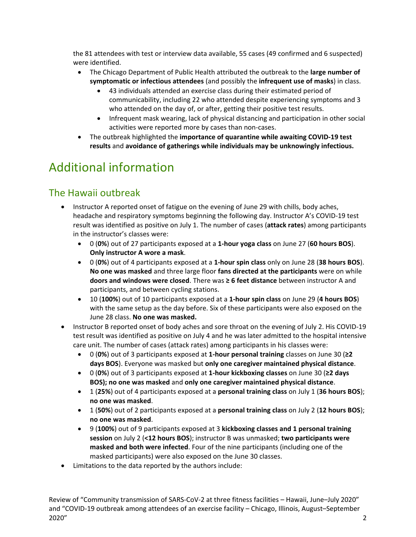the 81 attendees with test or interview data available, 55 cases (49 confirmed and 6 suspected) were identified.

- The Chicago Department of Public Health attributed the outbreak to the **large number of symptomatic or infectious attendees** (and possibly the **infrequent use of masks**) in class.
	- 43 individuals attended an exercise class during their estimated period of communicability, including 22 who attended despite experiencing symptoms and 3 who attended on the day of, or after, getting their positive test results.
	- Infrequent mask wearing, lack of physical distancing and participation in other social activities were reported more by cases than non-cases.
- The outbreak highlighted the **importance of quarantine while awaiting COVID-19 test results** and **avoidance of gatherings while individuals may be unknowingly infectious.**

# Additional information

### The Hawaii outbreak

- Instructor A reported onset of fatigue on the evening of June 29 with chills, body aches, headache and respiratory symptoms beginning the following day. Instructor A's COVID-19 test result was identified as positive on July 1. The number of cases (**attack rates**) among participants in the instructor's classes were:
	- 0 (**0%**) out of 27 participants exposed at a **1-hour yoga class** on June 27 (**60 hours BOS**). **Only instructor A wore a mask**.
	- 0 (**0%**) out of 4 participants exposed at a **1-hour spin class** only on June 28 (**38 hours BOS**). **No one was masked** and three large floor **fans directed at the participants** were on while **doors and windows were closed**. There was **≥ 6 feet distance** between instructor A and participants, and between cycling stations.
	- 10 (**100%**) out of 10 participants exposed at a **1-hour spin class** on June 29 (**4 hours BOS**) with the same setup as the day before. Six of these participants were also exposed on the June 28 class. **No one was masked.**
- Instructor B reported onset of body aches and sore throat on the evening of July 2. His COVID-19 test result was identified as positive on July 4 and he was later admitted to the hospital intensive care unit. The number of cases (attack rates) among participants in his classes were:
	- 0 (**0%**) out of 3 participants exposed at **1-hour personal training** classes on June 30 (**≥2 days BOS**). Everyone was masked but **only one caregiver maintained physical distance**.
	- 0 (**0%**) out of 3 participants exposed at **1-hour kickboxing classes** on June 30 (**≥2 days BOS); no one was masked** and **only one caregiver maintained physical distance**.
	- 1 (**25%**) out of 4 participants exposed at a **personal training class** on July 1 (**36 hours BOS**); **no one was masked**.
	- 1 (**50%**) out of 2 participants exposed at a **personal training class** on July 2 (**12 hours BOS**); **no one was masked**.
	- 9 (**100%**) out of 9 participants exposed at 3 **kickboxing classes and 1 personal training session** on July 2 (**<12 hours BOS**); instructor B was unmasked; **two participants were masked and both were infected**. Four of the nine participants (including one of the masked participants) were also exposed on the June 30 classes.
- Limitations to the data reported by the authors include: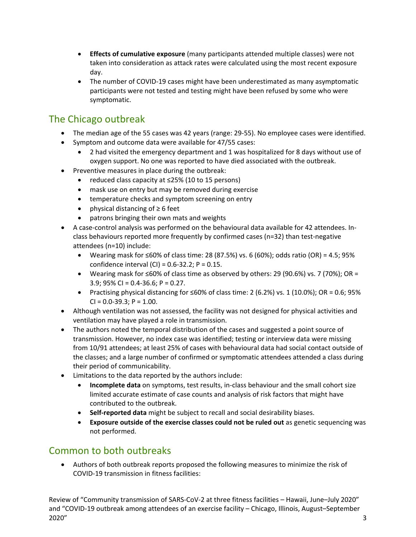- **Effects of cumulative exposure** (many participants attended multiple classes) were not taken into consideration as attack rates were calculated using the most recent exposure day.
- The number of COVID-19 cases might have been underestimated as many asymptomatic participants were not tested and testing might have been refused by some who were symptomatic.

#### The Chicago outbreak

- The median age of the 55 cases was 42 years (range: 29-55). No employee cases were identified.
- Symptom and outcome data were available for 47/55 cases:
	- 2 had visited the emergency department and 1 was hospitalized for 8 days without use of oxygen support. No one was reported to have died associated with the outbreak.
- Preventive measures in place during the outbreak:
	- reduced class capacity at ≤25% (10 to 15 persons)
	- mask use on entry but may be removed during exercise
	- temperature checks and symptom screening on entry
	- physical distancing of ≥ 6 feet
	- patrons bringing their own mats and weights
- A case-control analysis was performed on the behavioural data available for 42 attendees. Inclass behaviours reported more frequently by confirmed cases (n=32) than test-negative attendees (n=10) include:
	- Wearing mask for ≤60% of class time: 28 (87.5%) vs. 6 (60%); odds ratio (OR) = 4.5; 95% confidence interval (CI) = 0.6-32.2; P = 0.15.
	- Wearing mask for  $\leq 60\%$  of class time as observed by others: 29 (90.6%) vs. 7 (70%); OR = 3.9; 95% CI = 0.4-36.6; P = 0.27.
	- Practising physical distancing for ≤60% of class time: 2 (6.2%) vs. 1 (10.0%); OR = 0.6; 95%  $CI = 0.0 - 39.3$ ;  $P = 1.00$ .
- Although ventilation was not assessed, the facility was not designed for physical activities and ventilation may have played a role in transmission.
- The authors noted the temporal distribution of the cases and suggested a point source of transmission. However, no index case was identified; testing or interview data were missing from 10/91 attendees; at least 25% of cases with behavioural data had social contact outside of the classes; and a large number of confirmed or symptomatic attendees attended a class during their period of communicability.
- Limitations to the data reported by the authors include:
	- **Incomplete data** on symptoms, test results, in-class behaviour and the small cohort size limited accurate estimate of case counts and analysis of risk factors that might have contributed to the outbreak.
	- **Self-reported data** might be subject to recall and social desirability biases.
	- **Exposure outside of the exercise classes could not be ruled out** as genetic sequencing was not performed.

#### Common to both outbreaks

• Authors of both outbreak reports proposed the following measures to minimize the risk of COVID-19 transmission in fitness facilities:

Review of "Community transmission of SARS-CoV-2 at three fitness facilities – Hawaii, June–July 2020" and "COVID-19 outbreak among attendees of an exercise facility – Chicago, Illinois, August–September  $2020''$  3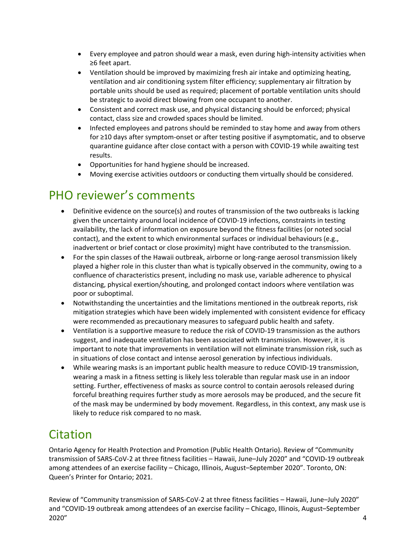- Every employee and patron should wear a mask, even during high-intensity activities when ≥6 feet apart.
- Ventilation should be improved by maximizing fresh air intake and optimizing heating, ventilation and air conditioning system filter efficiency; supplementary air filtration by portable units should be used as required; placement of portable ventilation units should be strategic to avoid direct blowing from one occupant to another.
- Consistent and correct mask use, and physical distancing should be enforced; physical contact, class size and crowded spaces should be limited.
- Infected employees and patrons should be reminded to stay home and away from others for ≥10 days after symptom-onset or after testing positive if asymptomatic, and to observe quarantine guidance after close contact with a person with COVID-19 while awaiting test results.
- Opportunities for hand hygiene should be increased.
- Moving exercise activities outdoors or conducting them virtually should be considered.

### PHO reviewer's comments

- Definitive evidence on the source(s) and routes of transmission of the two outbreaks is lacking given the uncertainty around local incidence of COVID-19 infections, constraints in testing availability, the lack of information on exposure beyond the fitness facilities (or noted social contact), and the extent to which environmental surfaces or individual behaviours (e.g., inadvertent or brief contact or close proximity) might have contributed to the transmission.
- For the spin classes of the Hawaii outbreak, airborne or long-range aerosol transmission likely played a higher role in this cluster than what is typically observed in the community, owing to a confluence of characteristics present, including no mask use, variable adherence to physical distancing, physical exertion/shouting, and prolonged contact indoors where ventilation was poor or suboptimal.
- Notwithstanding the uncertainties and the limitations mentioned in the outbreak reports, risk mitigation strategies which have been widely implemented with consistent evidence for efficacy were recommended as precautionary measures to safeguard public health and safety.
- Ventilation is a supportive measure to reduce the risk of COVID-19 transmission as the authors suggest, and inadequate ventilation has been associated with transmission. However, it is important to note that improvements in ventilation will not eliminate transmission risk, such as in situations of close contact and intense aerosol generation by infectious individuals.
- While wearing masks is an important public health measure to reduce COVID-19 transmission, wearing a mask in a fitness setting is likely less tolerable than regular mask use in an indoor setting. Further, effectiveness of masks as source control to contain aerosols released during forceful breathing requires further study as more aerosols may be produced, and the secure fit of the mask may be undermined by body movement. Regardless, in this context, any mask use is likely to reduce risk compared to no mask.

## Citation

Ontario Agency for Health Protection and Promotion (Public Health Ontario). Review of "Community transmission of SARS-CoV-2 at three fitness facilities – Hawaii, June–July 2020" and "COVID-19 outbreak among attendees of an exercise facility – Chicago, Illinois, August–September 2020". Toronto, ON: Queen's Printer for Ontario; 2021.

Review of "Community transmission of SARS-CoV-2 at three fitness facilities – Hawaii, June–July 2020" and "COVID-19 outbreak among attendees of an exercise facility – Chicago, Illinois, August–September 2020" 4